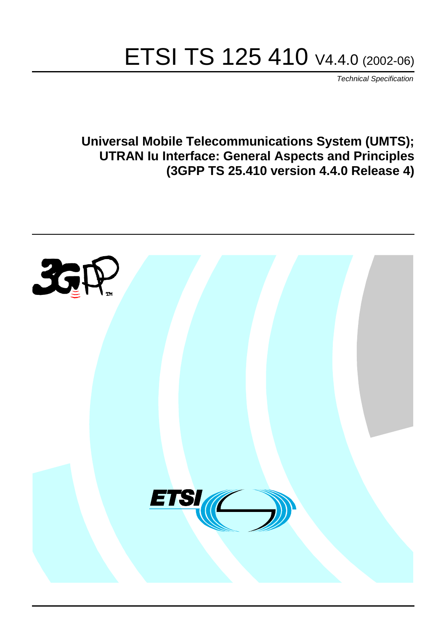# ETSI TS 125 410 V4.4.0 (2002-06)

Technical Specification

**Universal Mobile Telecommunications System (UMTS); UTRAN Iu Interface: General Aspects and Principles (3GPP TS 25.410 version 4.4.0 Release 4)**

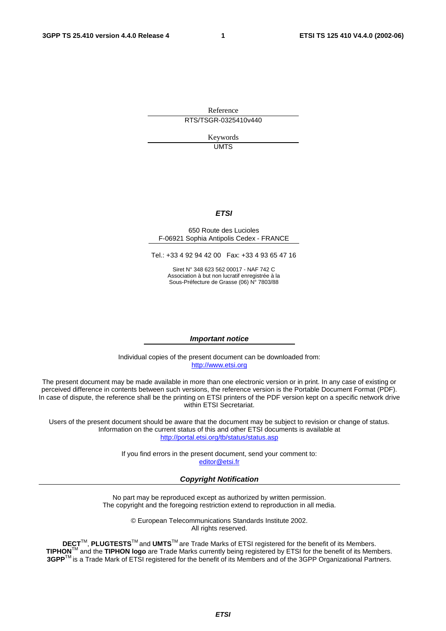Reference RTS/TSGR-0325410v440

> Keywords UMTS

#### **ETSI**

#### 650 Route des Lucioles F-06921 Sophia Antipolis Cedex - FRANCE

Tel.: +33 4 92 94 42 00 Fax: +33 4 93 65 47 16

Siret N° 348 623 562 00017 - NAF 742 C Association à but non lucratif enregistrée à la Sous-Préfecture de Grasse (06) N° 7803/88

#### **Important notice**

Individual copies of the present document can be downloaded from: [http://www.etsi.org](http://www.etsi.org/)

The present document may be made available in more than one electronic version or in print. In any case of existing or perceived difference in contents between such versions, the reference version is the Portable Document Format (PDF). In case of dispute, the reference shall be the printing on ETSI printers of the PDF version kept on a specific network drive within ETSI Secretariat.

Users of the present document should be aware that the document may be subject to revision or change of status. Information on the current status of this and other ETSI documents is available at <http://portal.etsi.org/tb/status/status.asp>

> If you find errors in the present document, send your comment to: [editor@etsi.fr](mailto:editor@etsi.fr)

#### **Copyright Notification**

No part may be reproduced except as authorized by written permission. The copyright and the foregoing restriction extend to reproduction in all media.

> © European Telecommunications Standards Institute 2002. All rights reserved.

**DECT**TM, **PLUGTESTS**TM and **UMTS**TM are Trade Marks of ETSI registered for the benefit of its Members. **TIPHON**TM and the **TIPHON logo** are Trade Marks currently being registered by ETSI for the benefit of its Members. **3GPP**TM is a Trade Mark of ETSI registered for the benefit of its Members and of the 3GPP Organizational Partners.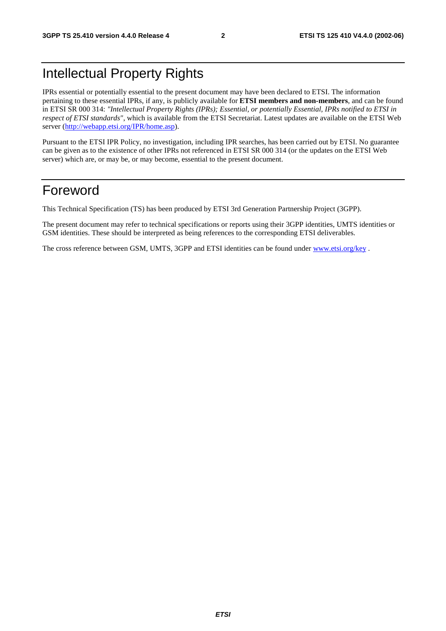## Intellectual Property Rights

IPRs essential or potentially essential to the present document may have been declared to ETSI. The information pertaining to these essential IPRs, if any, is publicly available for **ETSI members and non-members**, and can be found in ETSI SR 000 314: *"Intellectual Property Rights (IPRs); Essential, or potentially Essential, IPRs notified to ETSI in respect of ETSI standards"*, which is available from the ETSI Secretariat. Latest updates are available on the ETSI Web server ([http://webapp.etsi.org/IPR/home.asp\)](http://webapp.etsi.org/IPR/home.asp).

Pursuant to the ETSI IPR Policy, no investigation, including IPR searches, has been carried out by ETSI. No guarantee can be given as to the existence of other IPRs not referenced in ETSI SR 000 314 (or the updates on the ETSI Web server) which are, or may be, or may become, essential to the present document.

### Foreword

This Technical Specification (TS) has been produced by ETSI 3rd Generation Partnership Project (3GPP).

The present document may refer to technical specifications or reports using their 3GPP identities, UMTS identities or GSM identities. These should be interpreted as being references to the corresponding ETSI deliverables.

The cross reference between GSM, UMTS, 3GPP and ETSI identities can be found under [www.etsi.org/key](http://www.etsi.org/key) .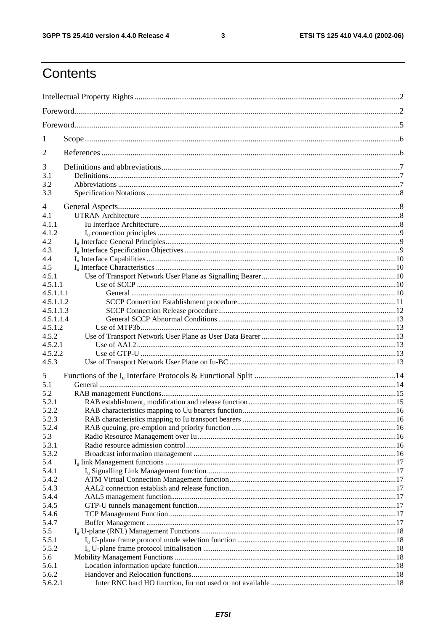$\mathbf{3}$ 

## Contents

| 1              |  |  |  |  |  |
|----------------|--|--|--|--|--|
| 2              |  |  |  |  |  |
| 3              |  |  |  |  |  |
| 3.1            |  |  |  |  |  |
| 3.2<br>3.3     |  |  |  |  |  |
|                |  |  |  |  |  |
| 4              |  |  |  |  |  |
| 4.1            |  |  |  |  |  |
| 4.1.1          |  |  |  |  |  |
| 4.1.2          |  |  |  |  |  |
| 4.2<br>4.3     |  |  |  |  |  |
| 4.4            |  |  |  |  |  |
| 4.5            |  |  |  |  |  |
| 4.5.1          |  |  |  |  |  |
| 4.5.1.1        |  |  |  |  |  |
| 4.5.1.1.1      |  |  |  |  |  |
| 4.5.1.1.2      |  |  |  |  |  |
| 4.5.1.1.3      |  |  |  |  |  |
| 4.5.1.1.4      |  |  |  |  |  |
| 4.5.1.2        |  |  |  |  |  |
| 4.5.2          |  |  |  |  |  |
| 4.5.2.1        |  |  |  |  |  |
| 4.5.2.2        |  |  |  |  |  |
| 4.5.3          |  |  |  |  |  |
| 5              |  |  |  |  |  |
| 5.1            |  |  |  |  |  |
| 5.2            |  |  |  |  |  |
| 5.2.1          |  |  |  |  |  |
| 5.2.2          |  |  |  |  |  |
| 5.2.3<br>5.2.4 |  |  |  |  |  |
| 5.3            |  |  |  |  |  |
| 5.3.1          |  |  |  |  |  |
| 5.3.2          |  |  |  |  |  |
| 5.4            |  |  |  |  |  |
| 5.4.1          |  |  |  |  |  |
| 5.4.2          |  |  |  |  |  |
| 5.4.3          |  |  |  |  |  |
| 5.4.4          |  |  |  |  |  |
| 5.4.5          |  |  |  |  |  |
| 5.4.6          |  |  |  |  |  |
| 5.4.7          |  |  |  |  |  |
| 5.5            |  |  |  |  |  |
| 5.5.1          |  |  |  |  |  |
| 5.5.2<br>5.6   |  |  |  |  |  |
| 5.6.1          |  |  |  |  |  |
| 5.6.2          |  |  |  |  |  |
| 5.6.2.1        |  |  |  |  |  |
|                |  |  |  |  |  |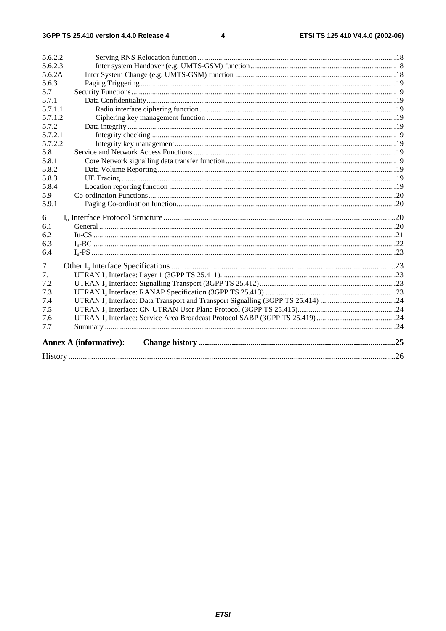#### $\overline{\mathbf{4}}$

| 5.6.2.2 |                               |  |
|---------|-------------------------------|--|
| 5.6.2.3 |                               |  |
| 5.6.2A  |                               |  |
| 5.6.3   |                               |  |
| 5.7     |                               |  |
| 5.7.1   |                               |  |
| 5.7.1.1 |                               |  |
| 5.7.1.2 |                               |  |
| 5.7.2   |                               |  |
| 5.7.2.1 |                               |  |
| 5.7.2.2 |                               |  |
| 5.8     |                               |  |
| 5.8.1   |                               |  |
| 5.8.2   |                               |  |
| 5.8.3   |                               |  |
| 5.8.4   |                               |  |
| 5.9     |                               |  |
| 5.9.1   |                               |  |
| 6       |                               |  |
| 6.1     |                               |  |
| 6.2     |                               |  |
| 6.3     |                               |  |
| 6.4     |                               |  |
| 7       |                               |  |
| 7.1     |                               |  |
| 7.2     |                               |  |
| 7.3     |                               |  |
| 7.4     |                               |  |
| 7.5     |                               |  |
| 7.6     |                               |  |
| 7.7     |                               |  |
|         | <b>Annex A (informative):</b> |  |
|         |                               |  |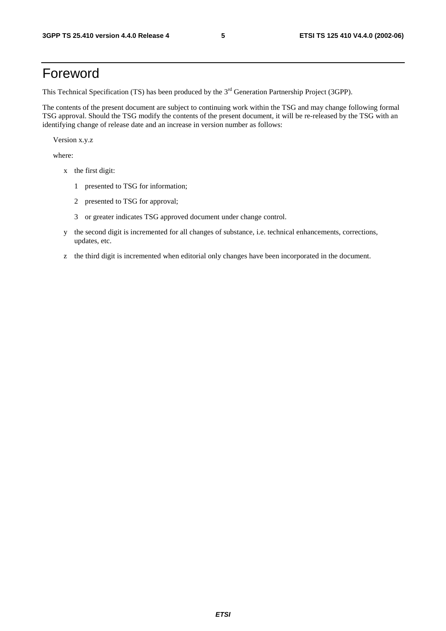## Foreword

This Technical Specification (TS) has been produced by the 3<sup>rd</sup> Generation Partnership Project (3GPP).

The contents of the present document are subject to continuing work within the TSG and may change following formal TSG approval. Should the TSG modify the contents of the present document, it will be re-released by the TSG with an identifying change of release date and an increase in version number as follows:

Version x.y.z

where:

- x the first digit:
	- 1 presented to TSG for information;
	- 2 presented to TSG for approval;
	- 3 or greater indicates TSG approved document under change control.
- y the second digit is incremented for all changes of substance, i.e. technical enhancements, corrections, updates, etc.
- z the third digit is incremented when editorial only changes have been incorporated in the document.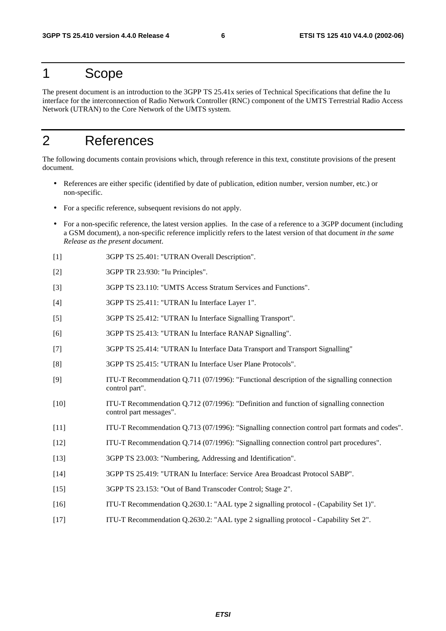### 1 Scope

The present document is an introduction to the 3GPP TS 25.41x series of Technical Specifications that define the Iu interface for the interconnection of Radio Network Controller (RNC) component of the UMTS Terrestrial Radio Access Network (UTRAN) to the Core Network of the UMTS system.

## 2 References

The following documents contain provisions which, through reference in this text, constitute provisions of the present document.

- References are either specific (identified by date of publication, edition number, version number, etc.) or non-specific.
- For a specific reference, subsequent revisions do not apply.
- For a non-specific reference, the latest version applies. In the case of a reference to a 3GPP document (including a GSM document), a non-specific reference implicitly refers to the latest version of that document *in the same Release as the present document*.
- [1] 3GPP TS 25.401: "UTRAN Overall Description".
- [2] 3GPP TR 23.930: "Iu Principles".
- [3] 3GPP TS 23.110: "UMTS Access Stratum Services and Functions".
- [4] 3GPP TS 25.411: "UTRAN Iu Interface Layer 1".
- [5] 3GPP TS 25.412: "UTRAN Iu Interface Signalling Transport".
- [6] 3GPP TS 25.413: "UTRAN Iu Interface RANAP Signalling".
- [7] 3GPP TS 25.414: "UTRAN Iu Interface Data Transport and Transport Signalling"
- [8] 3GPP TS 25.415: "UTRAN Iu Interface User Plane Protocols".
- [9] ITU-T Recommendation Q.711 (07/1996): "Functional description of the signalling connection control part".
- [10] ITU-T Recommendation Q.712 (07/1996): "Definition and function of signalling connection control part messages".
- [11] ITU-T Recommendation Q.713 (07/1996): "Signalling connection control part formats and codes".
- [12] ITU-T Recommendation Q.714 (07/1996): "Signalling connection control part procedures".
- [13] 3GPP TS 23.003: "Numbering, Addressing and Identification".
- [14] 3GPP TS 25.419: "UTRAN Iu Interface: Service Area Broadcast Protocol SABP".
- [15] 3GPP TS 23.153: "Out of Band Transcoder Control; Stage 2".
- [16] ITU-T Recommendation Q.2630.1: "AAL type 2 signalling protocol (Capability Set 1)".
- [17] ITU-T Recommendation Q.2630.2: "AAL type 2 signalling protocol Capability Set 2".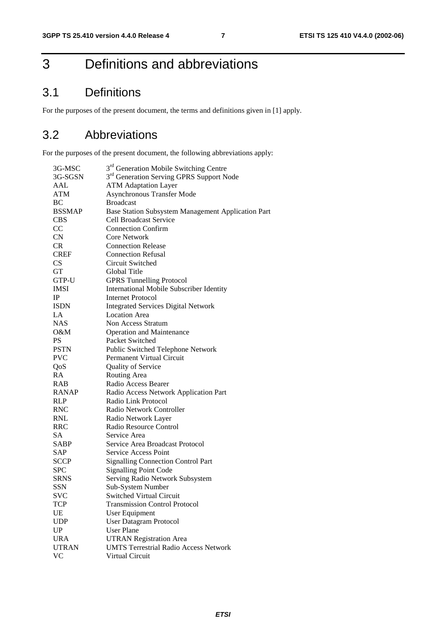## 3 Definitions and abbreviations

## 3.1 Definitions

For the purposes of the present document, the terms and definitions given in [1] apply.

## 3.2 Abbreviations

For the purposes of the present document, the following abbreviations apply:

| 3G-MSC                 | 3 <sup>rd</sup> Generation Mobile Switching Centre   |
|------------------------|------------------------------------------------------|
| 3G-SGSN                | 3 <sup>rd</sup> Generation Serving GPRS Support Node |
| AAL                    | <b>ATM Adaptation Layer</b>                          |
| ATM                    | <b>Asynchronous Transfer Mode</b>                    |
| BC                     | <b>Broadcast</b>                                     |
| <b>BSSMAP</b>          | Base Station Subsystem Management Application Part   |
| <b>CBS</b>             | <b>Cell Broadcast Service</b>                        |
| CC                     | <b>Connection Confirm</b>                            |
| CN                     | <b>Core Network</b>                                  |
| CR                     | <b>Connection Release</b>                            |
| <b>CREF</b>            | <b>Connection Refusal</b>                            |
| <b>CS</b>              | Circuit Switched                                     |
| <b>GT</b>              | Global Title                                         |
| GTP-U                  | <b>GPRS Tunnelling Protocol</b>                      |
| <b>IMSI</b>            | <b>International Mobile Subscriber Identity</b>      |
| $_{\rm IP}$            | <b>Internet Protocol</b>                             |
| <b>ISDN</b>            | <b>Integrated Services Digital Network</b>           |
| LA                     | <b>Location Area</b>                                 |
| <b>NAS</b>             | Non Access Stratum                                   |
| O&M                    | Operation and Maintenance                            |
| <b>PS</b>              | Packet Switched                                      |
| <b>PSTN</b>            | Public Switched Telephone Network                    |
| <b>PVC</b>             | Permanent Virtual Circuit                            |
| QoS                    | Quality of Service                                   |
| RA                     | Routing Area                                         |
| <b>RAB</b>             | Radio Access Bearer                                  |
| <b>RANAP</b>           | Radio Access Network Application Part                |
| <b>RLP</b>             | Radio Link Protocol                                  |
| <b>RNC</b>             | Radio Network Controller                             |
| <b>RNL</b>             | Radio Network Layer                                  |
| <b>RRC</b>             | Radio Resource Control                               |
| SA                     | Service Area                                         |
| SABP                   | Service Area Broadcast Protocol                      |
| SAP                    | <b>Service Access Point</b>                          |
| <b>SCCP</b>            | <b>Signalling Connection Control Part</b>            |
| <b>SPC</b>             | <b>Signalling Point Code</b>                         |
| <b>SRNS</b>            | Serving Radio Network Subsystem                      |
| SSN                    | Sub-System Number                                    |
| SVC                    | <b>Switched Virtual Circuit</b>                      |
| TCP                    | <b>Transmission Control Protocol</b>                 |
| UE                     | <b>User Equipment</b>                                |
| <b>UDP</b>             | <b>User Datagram Protocol</b>                        |
| $\mathbf{U}\mathbf{P}$ | <b>User Plane</b>                                    |
| <b>URA</b>             | <b>UTRAN Registration Area</b>                       |
| <b>UTRAN</b>           | <b>UMTS Terrestrial Radio Access Network</b>         |
| <b>VC</b>              | Virtual Circuit                                      |
|                        |                                                      |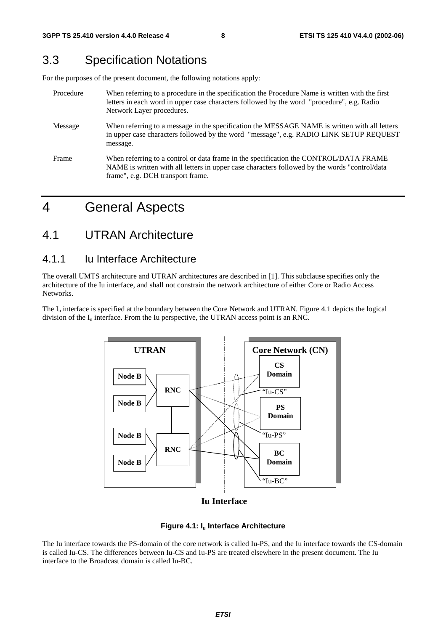## 3.3 Specification Notations

For the purposes of the present document, the following notations apply:

| Procedure | When referring to a procedure in the specification the Procedure Name is written with the first<br>letters in each word in upper case characters followed by the word "procedure", e.g. Radio<br>Network Layer procedures.   |
|-----------|------------------------------------------------------------------------------------------------------------------------------------------------------------------------------------------------------------------------------|
| Message   | When referring to a message in the specification the MESSAGE NAME is written with all letters<br>in upper case characters followed by the word "message", e.g. RADIO LINK SETUP REQUEST<br>message.                          |
| Frame     | When referring to a control or data frame in the specification the CONTROL/DATA FRAME<br>NAME is written with all letters in upper case characters followed by the words "control/data"<br>frame", e.g. DCH transport frame. |

## 4 General Aspects

### 4.1 UTRAN Architecture

#### 4.1.1 Iu Interface Architecture

The overall UMTS architecture and UTRAN architectures are described in [1]. This subclause specifies only the architecture of the Iu interface, and shall not constrain the network architecture of either Core or Radio Access Networks.

The  $I_{\text{u}}$  interface is specified at the boundary between the Core Network and UTRAN. Figure 4.1 depicts the logical division of the  $I_{\mu}$  interface. From the Iu perspective, the UTRAN access point is an RNC.



**Iu Interface**

#### **Figure 4.1: Iu Interface Architecture**

The Iu interface towards the PS-domain of the core network is called Iu-PS, and the Iu interface towards the CS-domain is called Iu-CS. The differences between Iu-CS and Iu-PS are treated elsewhere in the present document. The Iu interface to the Broadcast domain is called Iu-BC.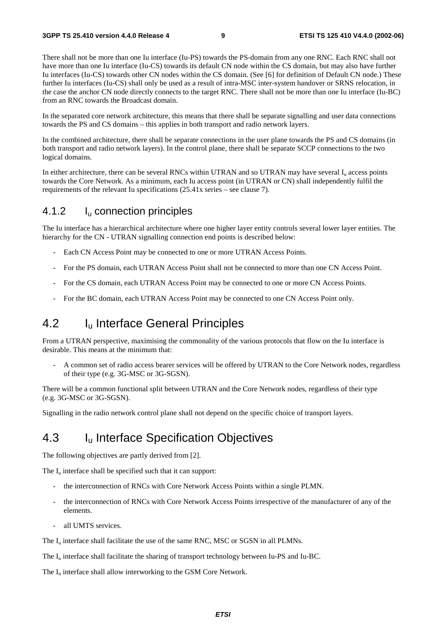There shall not be more than one Iu interface (Iu-PS) towards the PS-domain from any one RNC. Each RNC shall not have more than one Iu interface (Iu-CS) towards its default CN node within the CS domain, but may also have further Iu interfaces (Iu-CS) towards other CN nodes within the CS domain. (See [6] for definition of Default CN node.) These further Iu interfaces (Iu-CS) shall only be used as a result of intra-MSC inter-system handover or SRNS relocation, in the case the anchor CN node directly connects to the target RNC. There shall not be more than one Iu interface (Iu-BC) from an RNC towards the Broadcast domain.

In the separated core network architecture, this means that there shall be separate signalling and user data connections towards the PS and CS domains – this applies in both transport and radio network layers.

In the combined architecture, there shall be separate connections in the user plane towards the PS and CS domains (in both transport and radio network layers). In the control plane, there shall be separate SCCP connections to the two logical domains.

In either architecture, there can be several RNCs within UTRAN and so UTRAN may have several  $I<sub>u</sub>$  access points towards the Core Network. As a minimum, each Iu access point (in UTRAN or CN) shall independently fulfil the requirements of the relevant Iu specifications (25.41x series – see clause 7).

#### 4.1.2 Iu connection principles

The Iu interface has a hierarchical architecture where one higher layer entity controls several lower layer entities. The hierarchy for the CN - UTRAN signalling connection end points is described below:

- Each CN Access Point may be connected to one or more UTRAN Access Points.
- For the PS domain, each UTRAN Access Point shall not be connected to more than one CN Access Point.
- For the CS domain, each UTRAN Access Point may be connected to one or more CN Access Points.
- For the BC domain, each UTRAN Access Point may be connected to one CN Access Point only.

### 4.2 Iu Interface General Principles

From a UTRAN perspective, maximising the commonality of the various protocols that flow on the Iu interface is desirable. This means at the minimum that:

- A common set of radio access bearer services will be offered by UTRAN to the Core Network nodes, regardless of their type (e.g. 3G-MSC or 3G-SGSN).

There will be a common functional split between UTRAN and the Core Network nodes, regardless of their type (e.g. 3G-MSC or 3G-SGSN).

Signalling in the radio network control plane shall not depend on the specific choice of transport layers.

### 4.3 I<sub>u</sub> Interface Specification Objectives

The following objectives are partly derived from [2].

The  $I_u$  interface shall be specified such that it can support:

- the interconnection of RNCs with Core Network Access Points within a single PLMN.
- the interconnection of RNCs with Core Network Access Points irrespective of the manufacturer of any of the elements.
- all UMTS services.

The I<sub>u</sub> interface shall facilitate the use of the same RNC, MSC or SGSN in all PLMNs.

The I<sub>u</sub> interface shall facilitate the sharing of transport technology between Iu-PS and Iu-BC.

The  $I_{\text{u}}$  interface shall allow interworking to the GSM Core Network.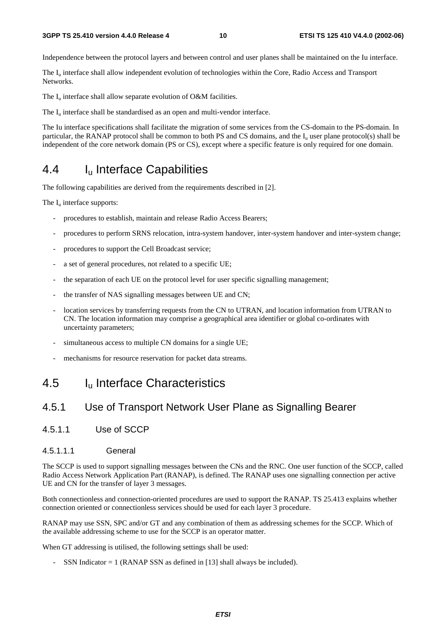#### **3GPP TS 25.410 version 4.4.0 Release 4 10 ETSI TS 125 410 V4.4.0 (2002-06)**

Independence between the protocol layers and between control and user planes shall be maintained on the Iu interface.

The  $I<sub>u</sub>$  interface shall allow independent evolution of technologies within the Core, Radio Access and Transport Networks.

The  $I_{\text{u}}$  interface shall allow separate evolution of O&M facilities.

The  $I_{\text{u}}$  interface shall be standardised as an open and multi-vendor interface.

The Iu interface specifications shall facilitate the migration of some services from the CS-domain to the PS-domain. In particular, the RANAP protocol shall be common to both PS and CS domains, and the  $I<sub>u</sub>$  user plane protocol(s) shall be independent of the core network domain (PS or CS), except where a specific feature is only required for one domain.

## 4.4 I<sub>u</sub> Interface Capabilities

The following capabilities are derived from the requirements described in [2].

The  $I_u$  interface supports:

- procedures to establish, maintain and release Radio Access Bearers;
- procedures to perform SRNS relocation, intra-system handover, inter-system handover and inter-system change;
- procedures to support the Cell Broadcast service;
- a set of general procedures, not related to a specific UE;
- the separation of each UE on the protocol level for user specific signalling management;
- the transfer of NAS signalling messages between UE and CN;
- location services by transferring requests from the CN to UTRAN, and location information from UTRAN to CN. The location information may comprise a geographical area identifier or global co-ordinates with uncertainty parameters;
- simultaneous access to multiple CN domains for a single UE;
- mechanisms for resource reservation for packet data streams.

### 4.5 Iu Interface Characteristics

### 4.5.1 Use of Transport Network User Plane as Signalling Bearer

- 4.5.1.1 Use of SCCP
- 4.5.1.11 **General**

The SCCP is used to support signalling messages between the CNs and the RNC. One user function of the SCCP, called Radio Access Network Application Part (RANAP), is defined. The RANAP uses one signalling connection per active UE and CN for the transfer of layer 3 messages.

Both connectionless and connection-oriented procedures are used to support the RANAP. TS 25.413 explains whether connection oriented or connectionless services should be used for each layer 3 procedure.

RANAP may use SSN, SPC and/or GT and any combination of them as addressing schemes for the SCCP. Which of the available addressing scheme to use for the SCCP is an operator matter.

When GT addressing is utilised, the following settings shall be used:

SSN Indicator  $= 1$  (RANAP SSN as defined in [13] shall always be included).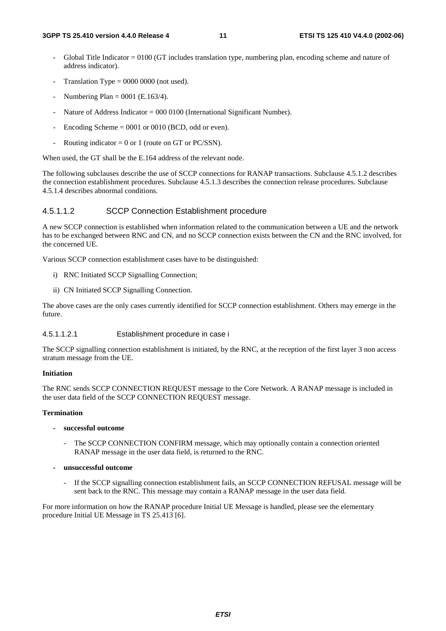- Global Title Indicator = 0100 (GT includes translation type, numbering plan, encoding scheme and nature of address indicator).
- Translation Type =  $0000 0000$  (not used).
- Numbering Plan =  $0001$  (E.163/4).
- Nature of Address Indicator =  $000\,0100$  (International Significant Number).
- Encoding Scheme  $= 0001$  or 0010 (BCD, odd or even).
- Routing indicator =  $0$  or 1 (route on GT or PC/SSN).

When used, the GT shall be the E.164 address of the relevant node.

The following subclauses describe the use of SCCP connections for RANAP transactions. Subclause 4.5.1.2 describes the connection establishment procedures. Subclause 4.5.1.3 describes the connection release procedures. Subclause 4.5.1.4 describes abnormal conditions.

#### 4.5.1.1.2 SCCP Connection Establishment procedure

A new SCCP connection is established when information related to the communication between a UE and the network has to be exchanged between RNC and CN, and no SCCP connection exists between the CN and the RNC involved, for the concerned UE.

Various SCCP connection establishment cases have to be distinguished:

- i) RNC Initiated SCCP Signalling Connection;
- ii) CN Initiated SCCP Signalling Connection.

The above cases are the only cases currently identified for SCCP connection establishment. Others may emerge in the future.

#### 4.5.1.1.2.1 Establishment procedure in case i

The SCCP signalling connection establishment is initiated, by the RNC, at the reception of the first layer 3 non access stratum message from the UE.

#### **Initiation**

The RNC sends SCCP CONNECTION REQUEST message to the Core Network. A RANAP message is included in the user data field of the SCCP CONNECTION REQUEST message.

#### **Termination**

- **successful outcome** 
	- The SCCP CONNECTION CONFIRM message, which may optionally contain a connection oriented RANAP message in the user data field, is returned to the RNC.
- **unsuccessful outcome** 
	- If the SCCP signalling connection establishment fails, an SCCP CONNECTION REFUSAL message will be sent back to the RNC. This message may contain a RANAP message in the user data field.

For more information on how the RANAP procedure Initial UE Message is handled, please see the elementary procedure Initial UE Message in TS 25.413 [6].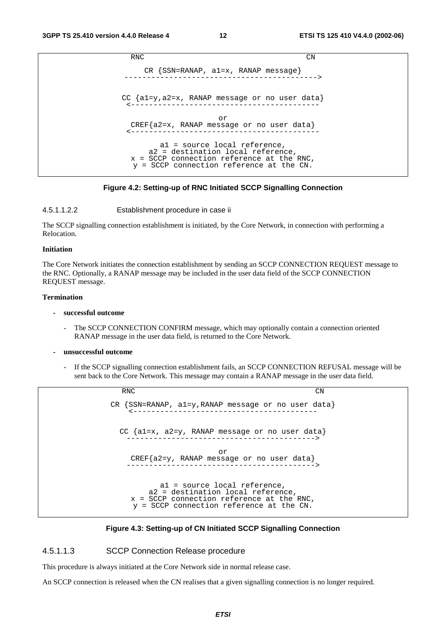RNC CN CR {SSN=RANAP, a1=x, RANAP message} -------------------------------------------> CC {a1=y,a2=x, RANAP message or no user data} <----------------------------------------- or CREF{a2=x, RANAP message or no user data} <----------------------------------------- a1 = source local reference, a2 = destination local reference, x = SCCP connection reference at the RNC, y = SCCP connection reference at the CN.

#### **Figure 4.2: Setting-up of RNC Initiated SCCP Signalling Connection**

#### 4.5.1.1.2.2 Establishment procedure in case ii

The SCCP signalling connection establishment is initiated, by the Core Network, in connection with performing a Relocation.

#### **Initiation**

The Core Network initiates the connection establishment by sending an SCCP CONNECTION REQUEST message to the RNC. Optionally, a RANAP message may be included in the user data field of the SCCP CONNECTION REQUEST message.

#### **Termination**

- **successful outcome** 
	- The SCCP CONNECTION CONFIRM message, which may optionally contain a connection oriented RANAP message in the user data field, is returned to the Core Network.
- **unsuccessful outcome** 
	- If the SCCP signalling connection establishment fails, an SCCP CONNECTION REFUSAL message will be sent back to the Core Network. This message may contain a RANAP message in the user data field.

RNC CN CR {SSN=RANAP, a1=y,RANAP message or no user data} <----------------------------------------- CC {a1=x, a2=y, RANAP message or no user data} ------------------------------------------> or CREF{a2=y, RANAP message or no user data} ------------------------------------------> a1 = source local reference, a2 = destination local reference, x = SCCP connection reference at the RNC, y = SCCP connection reference at the CN.

#### **Figure 4.3: Setting-up of CN Initiated SCCP Signalling Connection**

#### 4.5.1.1.3 SCCP Connection Release procedure

This procedure is always initiated at the Core Network side in normal release case.

An SCCP connection is released when the CN realises that a given signalling connection is no longer required.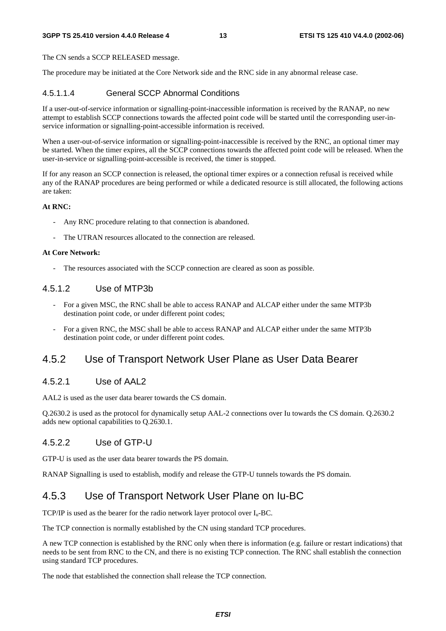#### **3GPP TS 25.410 version 4.4.0 Release 4 13 ETSI TS 125 410 V4.4.0 (2002-06)**

The CN sends a SCCP RELEASED message.

The procedure may be initiated at the Core Network side and the RNC side in any abnormal release case.

#### 4.5.1.1.4 General SCCP Abnormal Conditions

If a user-out-of-service information or signalling-point-inaccessible information is received by the RANAP, no new attempt to establish SCCP connections towards the affected point code will be started until the corresponding user-inservice information or signalling-point-accessible information is received.

When a user-out-of-service information or signalling-point-inaccessible is received by the RNC, an optional timer may be started. When the timer expires, all the SCCP connections towards the affected point code will be released. When the user-in-service or signalling-point-accessible is received, the timer is stopped.

If for any reason an SCCP connection is released, the optional timer expires or a connection refusal is received while any of the RANAP procedures are being performed or while a dedicated resource is still allocated, the following actions are taken:

#### **At RNC:**

- Any RNC procedure relating to that connection is abandoned.
- The UTRAN resources allocated to the connection are released.

#### **At Core Network:**

The resources associated with the SCCP connection are cleared as soon as possible.

#### 4.5.1.2 Use of MTP3b

- For a given MSC, the RNC shall be able to access RANAP and ALCAP either under the same MTP3b destination point code, or under different point codes;
- For a given RNC, the MSC shall be able to access RANAP and ALCAP either under the same MTP3b destination point code, or under different point codes.

### 4.5.2 Use of Transport Network User Plane as User Data Bearer

#### 4.5.2.1 Use of AAL2

AAL2 is used as the user data bearer towards the CS domain.

Q.2630.2 is used as the protocol for dynamically setup AAL-2 connections over Iu towards the CS domain. Q.2630.2 adds new optional capabilities to Q.2630.1.

#### 4.5.2.2 Use of GTP-U

GTP-U is used as the user data bearer towards the PS domain.

RANAP Signalling is used to establish, modify and release the GTP-U tunnels towards the PS domain.

### 4.5.3 Use of Transport Network User Plane on Iu-BC

TCP/IP is used as the bearer for the radio network layer protocol over  $I_n$ -BC.

The TCP connection is normally established by the CN using standard TCP procedures.

A new TCP connection is established by the RNC only when there is information (e.g. failure or restart indications) that needs to be sent from RNC to the CN, and there is no existing TCP connection. The RNC shall establish the connection using standard TCP procedures.

The node that established the connection shall release the TCP connection.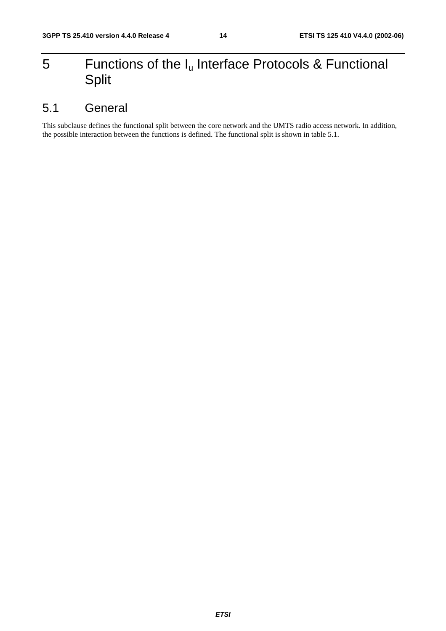## 5 Functions of the  $I_u$  Interface Protocols & Functional Split

## 5.1 General

This subclause defines the functional split between the core network and the UMTS radio access network. In addition, the possible interaction between the functions is defined. The functional split is shown in table 5.1.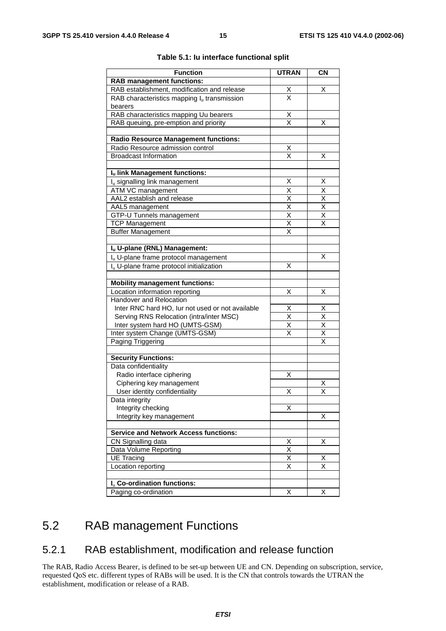| <b>Function</b>                                      | <b>UTRAN</b>                        | <b>CN</b>                           |
|------------------------------------------------------|-------------------------------------|-------------------------------------|
| <b>RAB management functions:</b>                     |                                     |                                     |
| RAB establishment, modification and release          |                                     | х                                   |
| RAB characteristics mapping $I_u$ transmission       | $\frac{x}{x}$                       |                                     |
| bearers                                              |                                     |                                     |
| RAB characteristics mapping Uu bearers               | $\overline{\mathsf{X}}$             |                                     |
| RAB queuing, pre-emption and priority                | $\overline{\mathsf{x}}$             | х                                   |
|                                                      |                                     |                                     |
| <b>Radio Resource Management functions:</b>          |                                     |                                     |
| Radio Resource admission control                     | $\frac{\text{X}}{\text{X}}$         |                                     |
| <b>Broadcast Information</b>                         |                                     | Χ                                   |
| Iu link Management functions:                        |                                     |                                     |
| I <sub>u</sub> signalling link management            | Χ                                   | Χ                                   |
| ATM VC management                                    | X                                   | Χ                                   |
| AAL2 establish and release                           |                                     | $\overline{\mathsf{X}}$             |
| AAL5 management                                      | $\frac{\overline{x}}{\overline{x}}$ | $\overline{\mathsf{x}}$             |
| GTP-U Tunnels management                             | $\overline{\mathsf{x}}$             | Χ                                   |
| <b>TCP Management</b>                                | $\overline{\mathsf{x}}$             | $\overline{\mathsf{x}}$             |
| <b>Buffer Management</b>                             | X                                   |                                     |
|                                                      |                                     |                                     |
| Iu U-plane (RNL) Management:                         |                                     |                                     |
| I <sub>u</sub> U-plane frame protocol management     |                                     | X                                   |
| I <sub>u</sub> U-plane frame protocol initialization | X                                   |                                     |
|                                                      |                                     |                                     |
| <b>Mobility management functions:</b>                |                                     |                                     |
| Location information reporting                       | Χ                                   | х                                   |
| Handover and Relocation                              |                                     |                                     |
| Inter RNC hard HO, lur not used or not available     | X                                   | $\frac{X}{X}$                       |
| Serving RNS Relocation (intra/inter MSC)             | $\overline{\mathsf{x}}$             |                                     |
| Inter system hard HO (UMTS-GSM)                      | $\overline{\mathsf{x}}$             | $\overline{\mathsf{X}}$             |
| Inter system Change (UMTS-GSM)                       | X                                   | $\frac{\overline{x}}{\overline{x}}$ |
| Paging Triggering                                    |                                     |                                     |
|                                                      |                                     |                                     |
| <b>Security Functions:</b><br>Data confidentiality   |                                     |                                     |
| Radio interface ciphering                            |                                     |                                     |
| Ciphering key management                             | Χ                                   | х                                   |
| User identity confidentiality                        | Χ                                   | $\overline{\mathsf{x}}$             |
| Data integrity                                       |                                     |                                     |
| Integrity checking                                   | X                                   |                                     |
| Integrity key management                             |                                     | Χ                                   |
|                                                      |                                     |                                     |
| <b>Service and Network Access functions:</b>         |                                     |                                     |
| CN Signalling data                                   | $\overline{\mathsf{X}}$             | Χ                                   |
| Data Volume Reporting                                | $\overline{\mathsf{x}}$             |                                     |
| <b>UE Tracing</b>                                    | $\overline{\mathsf{x}}$             | Х                                   |
| Location reporting                                   | $\overline{\mathsf{x}}$             | $\overline{\mathsf{x}}$             |
|                                                      |                                     |                                     |
| I <sub>u</sub> Co-ordination functions:              |                                     |                                     |
| Paging co-ordination                                 | X                                   | X                                   |

#### **Table 5.1: Iu interface functional split**

## 5.2 RAB management Functions

### 5.2.1 RAB establishment, modification and release function

The RAB, Radio Access Bearer, is defined to be set-up between UE and CN. Depending on subscription, service, requested QoS etc. different types of RABs will be used. It is the CN that controls towards the UTRAN the establishment, modification or release of a RAB.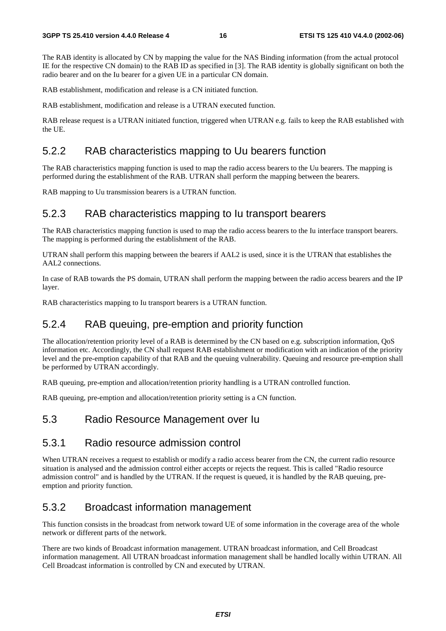The RAB identity is allocated by CN by mapping the value for the NAS Binding information (from the actual protocol IE for the respective CN domain) to the RAB ID as specified in [3]. The RAB identity is globally significant on both the radio bearer and on the Iu bearer for a given UE in a particular CN domain.

RAB establishment, modification and release is a CN initiated function.

RAB establishment, modification and release is a UTRAN executed function.

RAB release request is a UTRAN initiated function, triggered when UTRAN e.g. fails to keep the RAB established with the UE.

#### 5.2.2 RAB characteristics mapping to Uu bearers function

The RAB characteristics mapping function is used to map the radio access bearers to the Uu bearers. The mapping is performed during the establishment of the RAB. UTRAN shall perform the mapping between the bearers.

RAB mapping to Uu transmission bearers is a UTRAN function.

#### 5.2.3 RAB characteristics mapping to Iu transport bearers

The RAB characteristics mapping function is used to map the radio access bearers to the Iu interface transport bearers. The mapping is performed during the establishment of the RAB.

UTRAN shall perform this mapping between the bearers if AAL2 is used, since it is the UTRAN that establishes the AAL2 connections.

In case of RAB towards the PS domain, UTRAN shall perform the mapping between the radio access bearers and the IP layer.

RAB characteristics mapping to Iu transport bearers is a UTRAN function.

#### 5.2.4 RAB queuing, pre-emption and priority function

The allocation/retention priority level of a RAB is determined by the CN based on e.g. subscription information, QoS information etc. Accordingly, the CN shall request RAB establishment or modification with an indication of the priority level and the pre-emption capability of that RAB and the queuing vulnerability. Queuing and resource pre-emption shall be performed by UTRAN accordingly.

RAB queuing, pre-emption and allocation/retention priority handling is a UTRAN controlled function.

RAB queuing, pre-emption and allocation/retention priority setting is a CN function.

#### 5.3 Radio Resource Management over Iu

#### 5.3.1 Radio resource admission control

When UTRAN receives a request to establish or modify a radio access bearer from the CN, the current radio resource situation is analysed and the admission control either accepts or rejects the request. This is called "Radio resource admission control" and is handled by the UTRAN. If the request is queued, it is handled by the RAB queuing, preemption and priority function.

#### 5.3.2 Broadcast information management

This function consists in the broadcast from network toward UE of some information in the coverage area of the whole network or different parts of the network.

There are two kinds of Broadcast information management. UTRAN broadcast information, and Cell Broadcast information management. All UTRAN broadcast information management shall be handled locally within UTRAN. All Cell Broadcast information is controlled by CN and executed by UTRAN.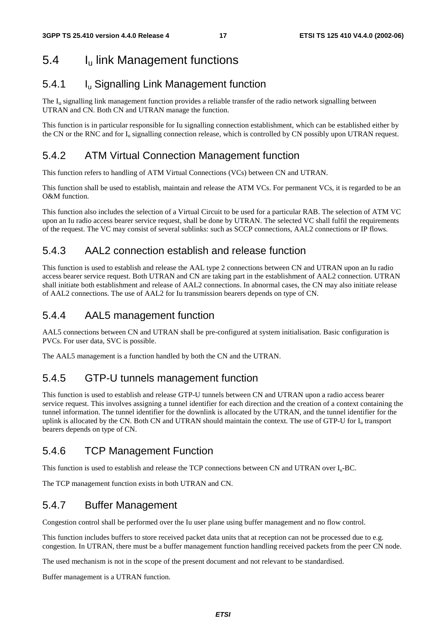## 5.4 Iu link Management functions

### 5.4.1 Iu Signalling Link Management function

The  $I<sub>u</sub>$  signalling link management function provides a reliable transfer of the radio network signalling between UTRAN and CN. Both CN and UTRAN manage the function.

This function is in particular responsible for Iu signalling connection establishment, which can be established either by the CN or the RNC and for  $I_u$  signalling connection release, which is controlled by CN possibly upon UTRAN request.

### 5.4.2 ATM Virtual Connection Management function

This function refers to handling of ATM Virtual Connections (VCs) between CN and UTRAN.

This function shall be used to establish, maintain and release the ATM VCs. For permanent VCs, it is regarded to be an O&M function.

This function also includes the selection of a Virtual Circuit to be used for a particular RAB. The selection of ATM VC upon an Iu radio access bearer service request, shall be done by UTRAN. The selected VC shall fulfil the requirements of the request. The VC may consist of several sublinks: such as SCCP connections, AAL2 connections or IP flows.

### 5.4.3 AAL2 connection establish and release function

This function is used to establish and release the AAL type 2 connections between CN and UTRAN upon an Iu radio access bearer service request. Both UTRAN and CN are taking part in the establishment of AAL2 connection. UTRAN shall initiate both establishment and release of AAL2 connections. In abnormal cases, the CN may also initiate release of AAL2 connections. The use of AAL2 for Iu transmission bearers depends on type of CN.

#### 5.4.4 AAL5 management function

AAL5 connections between CN and UTRAN shall be pre-configured at system initialisation. Basic configuration is PVCs. For user data, SVC is possible.

The AAL5 management is a function handled by both the CN and the UTRAN.

### 5.4.5 GTP-U tunnels management function

This function is used to establish and release GTP-U tunnels between CN and UTRAN upon a radio access bearer service request. This involves assigning a tunnel identifier for each direction and the creation of a context containing the tunnel information. The tunnel identifier for the downlink is allocated by the UTRAN, and the tunnel identifier for the uplink is allocated by the CN. Both CN and UTRAN should maintain the context. The use of GTP-U for  $I<sub>u</sub>$  transport bearers depends on type of CN.

### 5.4.6 TCP Management Function

This function is used to establish and release the TCP connections between CN and UTRAN over  $I_{u}$ -BC.

The TCP management function exists in both UTRAN and CN.

### 5.4.7 Buffer Management

Congestion control shall be performed over the Iu user plane using buffer management and no flow control.

This function includes buffers to store received packet data units that at reception can not be processed due to e.g. congestion. In UTRAN, there must be a buffer management function handling received packets from the peer CN node.

The used mechanism is not in the scope of the present document and not relevant to be standardised.

Buffer management is a UTRAN function.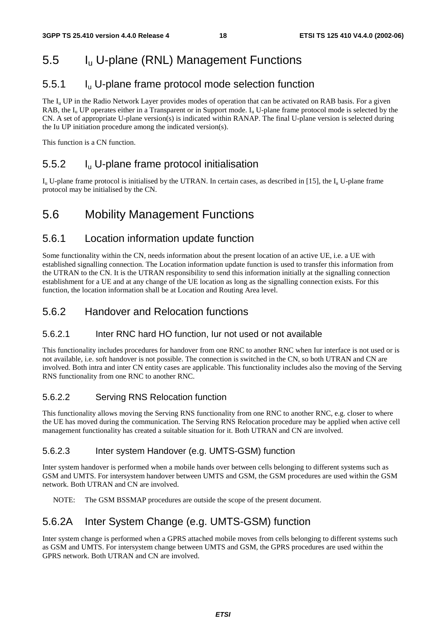## 5.5 Iu U-plane (RNL) Management Functions

### 5.5.1 Iu U-plane frame protocol mode selection function

The  $I_u$  UP in the Radio Network Layer provides modes of operation that can be activated on RAB basis. For a given RAB, the I<sub>u</sub> UP operates either in a Transparent or in Support mode. I<sub>u</sub> U-plane frame protocol mode is selected by the CN. A set of appropriate U-plane version(s) is indicated within RANAP. The final U-plane version is selected during the Iu UP initiation procedure among the indicated version(s).

This function is a CN function.

### 5.5.2 Iu U-plane frame protocol initialisation

 $I_{\rm u}$  U-plane frame protocol is initialised by the UTRAN. In certain cases, as described in [15], the  $I_{\rm u}$  U-plane frame protocol may be initialised by the CN.

### 5.6 Mobility Management Functions

### 5.6.1 Location information update function

Some functionality within the CN, needs information about the present location of an active UE, i.e. a UE with established signalling connection. The Location information update function is used to transfer this information from the UTRAN to the CN. It is the UTRAN responsibility to send this information initially at the signalling connection establishment for a UE and at any change of the UE location as long as the signalling connection exists. For this function, the location information shall be at Location and Routing Area level.

### 5.6.2 Handover and Relocation functions

#### 5.6.2.1 Inter RNC hard HO function, Iur not used or not available

This functionality includes procedures for handover from one RNC to another RNC when Iur interface is not used or is not available, i.e. soft handover is not possible. The connection is switched in the CN, so both UTRAN and CN are involved. Both intra and inter CN entity cases are applicable. This functionality includes also the moving of the Serving RNS functionality from one RNC to another RNC.

#### 5.6.2.2 Serving RNS Relocation function

This functionality allows moving the Serving RNS functionality from one RNC to another RNC, e.g. closer to where the UE has moved during the communication. The Serving RNS Relocation procedure may be applied when active cell management functionality has created a suitable situation for it. Both UTRAN and CN are involved.

#### 5.6.2.3 Inter system Handover (e.g. UMTS-GSM) function

Inter system handover is performed when a mobile hands over between cells belonging to different systems such as GSM and UMTS. For intersystem handover between UMTS and GSM, the GSM procedures are used within the GSM network. Both UTRAN and CN are involved.

NOTE: The GSM BSSMAP procedures are outside the scope of the present document.

### 5.6.2A Inter System Change (e.g. UMTS-GSM) function

Inter system change is performed when a GPRS attached mobile moves from cells belonging to different systems such as GSM and UMTS. For intersystem change between UMTS and GSM, the GPRS procedures are used within the GPRS network. Both UTRAN and CN are involved.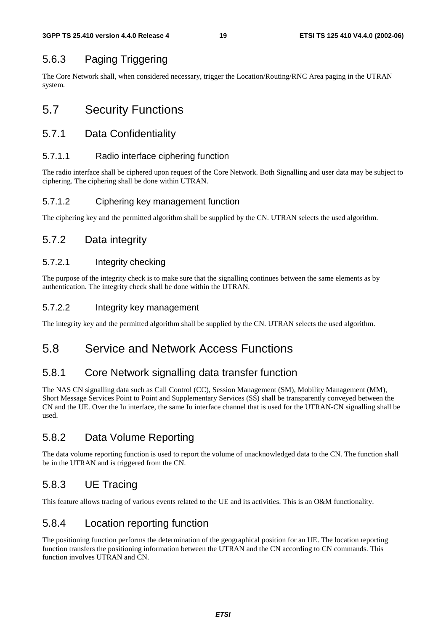### 5.6.3 Paging Triggering

The Core Network shall, when considered necessary, trigger the Location/Routing/RNC Area paging in the UTRAN system.

## 5.7 Security Functions

#### 5.7.1 Data Confidentiality

#### 5.7.1.1 Radio interface ciphering function

The radio interface shall be ciphered upon request of the Core Network. Both Signalling and user data may be subject to ciphering. The ciphering shall be done within UTRAN.

#### 5.7.1.2 Ciphering key management function

The ciphering key and the permitted algorithm shall be supplied by the CN. UTRAN selects the used algorithm.

### 5.7.2 Data integrity

#### 5.7.2.1 Integrity checking

The purpose of the integrity check is to make sure that the signalling continues between the same elements as by authentication. The integrity check shall be done within the UTRAN.

#### 5.7.2.2 Integrity key management

The integrity key and the permitted algorithm shall be supplied by the CN. UTRAN selects the used algorithm.

### 5.8 Service and Network Access Functions

#### 5.8.1 Core Network signalling data transfer function

The NAS CN signalling data such as Call Control (CC), Session Management (SM), Mobility Management (MM), Short Message Services Point to Point and Supplementary Services (SS) shall be transparently conveyed between the CN and the UE. Over the Iu interface, the same Iu interface channel that is used for the UTRAN-CN signalling shall be used.

### 5.8.2 Data Volume Reporting

The data volume reporting function is used to report the volume of unacknowledged data to the CN. The function shall be in the UTRAN and is triggered from the CN.

### 5.8.3 UE Tracing

This feature allows tracing of various events related to the UE and its activities. This is an O&M functionality.

### 5.8.4 Location reporting function

The positioning function performs the determination of the geographical position for an UE. The location reporting function transfers the positioning information between the UTRAN and the CN according to CN commands. This function involves UTRAN and CN.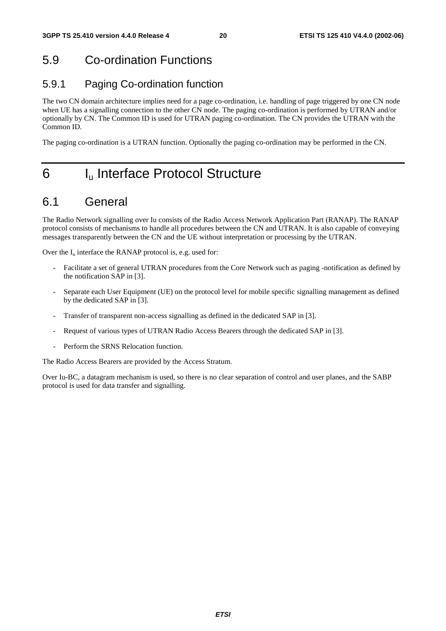## 5.9 Co-ordination Functions

### 5.9.1 Paging Co-ordination function

The two CN domain architecture implies need for a page co-ordination, i.e. handling of page triggered by one CN node when UE has a signalling connection to the other CN node. The paging co-ordination is performed by UTRAN and/or optionally by CN. The Common ID is used for UTRAN paging co-ordination. The CN provides the UTRAN with the Common ID.

The paging co-ordination is a UTRAN function. Optionally the paging co-ordination may be performed in the CN.

## 6 I<sub>u</sub> Interface Protocol Structure

### 6.1 General

The Radio Network signalling over Iu consists of the Radio Access Network Application Part (RANAP). The RANAP protocol consists of mechanisms to handle all procedures between the CN and UTRAN. It is also capable of conveying messages transparently between the CN and the UE without interpretation or processing by the UTRAN.

Over the  $I_u$  interface the RANAP protocol is, e.g. used for:

- Facilitate a set of general UTRAN procedures from the Core Network such as paging -notification as defined by the notification SAP in [3].
- Separate each User Equipment (UE) on the protocol level for mobile specific signalling management as defined by the dedicated SAP in [3].
- Transfer of transparent non-access signalling as defined in the dedicated SAP in [3].
- Request of various types of UTRAN Radio Access Bearers through the dedicated SAP in [3].
- Perform the SRNS Relocation function.

The Radio Access Bearers are provided by the Access Stratum.

Over Iu-BC, a datagram mechanism is used, so there is no clear separation of control and user planes, and the SABP protocol is used for data transfer and signalling.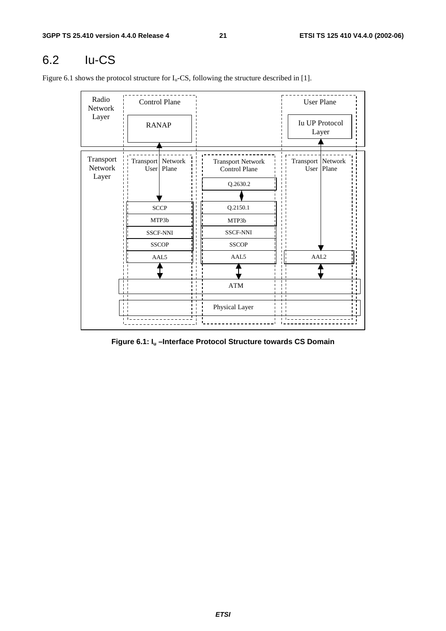## 6.2 Iu-CS

Figure 6.1 shows the protocol structure for  $I_u$ -CS, following the structure described in [1].

|                 |  |                                                                                                           | <b>User Plane</b>                                                              |
|-----------------|--|-----------------------------------------------------------------------------------------------------------|--------------------------------------------------------------------------------|
| <b>RANAP</b>    |  |                                                                                                           | <b>Iu UP Protocol</b><br>Layer                                                 |
|                 |  | <b>Transport Network</b><br>Control Plane<br>Q.2630.2                                                     | Transport Network<br>User   Plane                                              |
|                 |  | Q.2150.1                                                                                                  |                                                                                |
| <b>SSCF-NNI</b> |  | <b>SSCF-NNI</b>                                                                                           |                                                                                |
|                 |  | AAL5                                                                                                      | AAL <sub>2</sub>                                                               |
|                 |  | $\bold{ATM}$                                                                                              |                                                                                |
|                 |  | Physical Layer                                                                                            |                                                                                |
|                 |  | <b>Control Plane</b><br>Transport Network<br>User   Plane<br><b>SCCP</b><br>MTP3b<br><b>SSCOP</b><br>AAL5 | MTP3b<br><b>SSCOP</b><br>$\blacksquare$<br>$\mathbf{I}$<br>. .<br>$\mathbf{L}$ |

**Figure 6.1: Iu –Interface Protocol Structure towards CS Domain**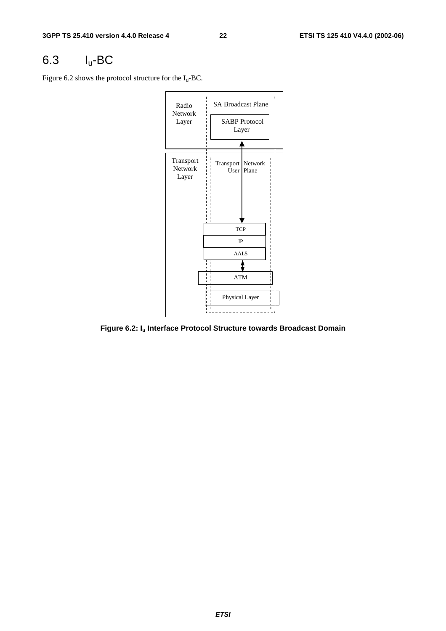## 6.3 Iu-BC

Figure 6.2 shows the protocol structure for the  $I_u$ -BC.



**Figure 6.2: Iu Interface Protocol Structure towards Broadcast Domain**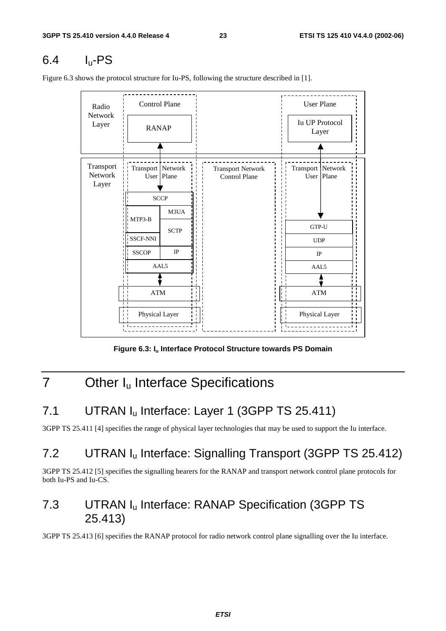## $6.4$  I<sub>u</sub>-PS

<u> 22222222</u> Control Plane (User Plane Radio Network Iu UP Protocol Layer RANAP Layer Transport Transport Network Transport Network Transport Network Network User Plane Control Plane User Plane Layer **SCCP** M3UA MTP3-B GTP-U **SCTP** SSCF-NNI SSCF-NNI UDP IP **SSCOP** IP AAL5 AAL5 ATM ATM Physical Layer Physical Layer

Figure 6.3 shows the protocol structure for Iu-PS, following the structure described in [1].

Figure 6.3: I<sub>u</sub> Interface Protocol Structure towards PS Domain

## 7 Other I<sub>u</sub> Interface Specifications

### 7.1 UTRAN I<sub>u</sub> Interface: Layer 1 (3GPP TS 25.411)

3GPP TS 25.411 [4] specifies the range of physical layer technologies that may be used to support the Iu interface.

### 7.2 UTRAN Iu Interface: Signalling Transport (3GPP TS 25.412)

3GPP TS 25.412 [5] specifies the signalling bearers for the RANAP and transport network control plane protocols for both Iu-PS and Iu-CS.

### 7.3 UTRAN Iu Interface: RANAP Specification (3GPP TS 25.413)

3GPP TS 25.413 [6] specifies the RANAP protocol for radio network control plane signalling over the Iu interface.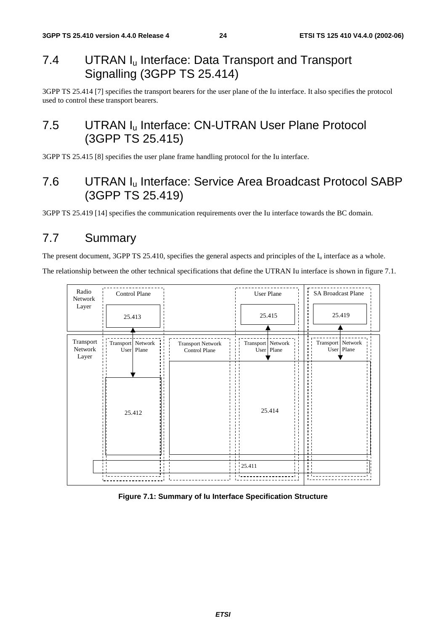### 7.4 UTRAN I<sub>u</sub> Interface: Data Transport and Transport Signalling (3GPP TS 25.414)

3GPP TS 25.414 [7] specifies the transport bearers for the user plane of the Iu interface. It also specifies the protocol used to control these transport bearers.

### 7.5 UTRAN I<sub>u</sub> Interface: CN-UTRAN User Plane Protocol (3GPP TS 25.415)

3GPP TS 25.415 [8] specifies the user plane frame handling protocol for the Iu interface.

## 7.6 UTRAN Iu Interface: Service Area Broadcast Protocol SABP (3GPP TS 25.419)

3GPP TS 25.419 [14] specifies the communication requirements over the Iu interface towards the BC domain.

### 7.7 Summary

The present document, 3GPP TS 25.410, specifies the general aspects and principles of the  $I_u$  interface as a whole.

The relationship between the other technical specifications that define the UTRAN Iu interface is shown in figure 7.1.



#### **Figure 7.1: Summary of Iu Interface Specification Structure**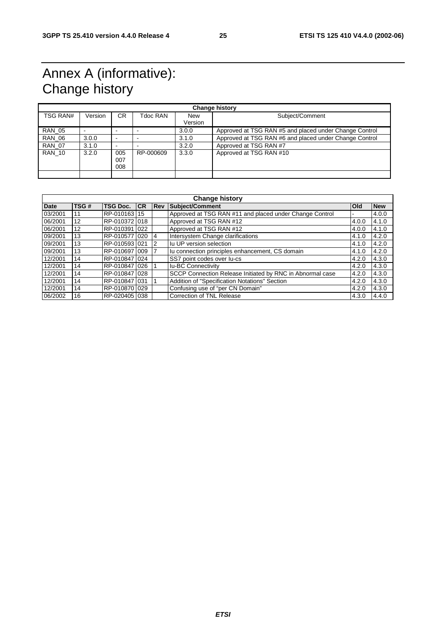## Annex A (informative): Change history

| <b>Change history</b> |         |                          |           |                       |                                                        |  |
|-----------------------|---------|--------------------------|-----------|-----------------------|--------------------------------------------------------|--|
| TSG RAN#              | Version | CR.                      | Tdoc RAN  | <b>New</b><br>Version | Subject/Comment                                        |  |
|                       |         |                          |           |                       |                                                        |  |
| <b>RAN 05</b>         |         |                          |           | 3.0.0                 | Approved at TSG RAN #5 and placed under Change Control |  |
| <b>RAN 06</b>         | 3.0.0   | $\overline{\phantom{0}}$ |           | 3.1.0                 | Approved at TSG RAN #6 and placed under Change Control |  |
| <b>RAN 07</b>         | 3.1.0   | $\overline{\phantom{0}}$ |           | 3.2.0                 | Approved at TSG RAN #7                                 |  |
| <b>RAN 10</b>         | 3.2.0   | 005<br>007<br>800        | RP-000609 | 3.3.0                 | Approved at TSG RAN #10                                |  |
|                       |         |                          |           |                       |                                                        |  |

| <b>Change history</b> |      |                 |           |            |                                                           |            |            |
|-----------------------|------|-----------------|-----------|------------|-----------------------------------------------------------|------------|------------|
| <b>Date</b>           | TSG# | <b>TSG Doc.</b> | <b>CR</b> | <b>Rev</b> | Subject/Comment                                           | <b>Old</b> | <b>New</b> |
| 03/2001               | 11   | RP-010163115    |           |            | Approved at TSG RAN #11 and placed under Change Control   |            | 4.0.0      |
| 06/2001               | 12   | RP-010372 018   |           |            | Approved at TSG RAN #12                                   | 4.0.0      | 4.1.0      |
| 06/2001               | 12   | RP-010391 022   |           |            | Approved at TSG RAN #12                                   | 4.0.0      | 4.1.0      |
| 09/2001               | 13   | RP-0105771020   |           | 4          | Intersystem Change clarifications                         | 4.1.0      | 4.2.0      |
| 09/2001               | 13   | RP-0105931021   |           | 2          | Iu UP version selection                                   | 4.1.0      | 4.2.0      |
| 09/2001               | 13   | RP-0106971009   |           |            | Iu connection principles enhancement, CS domain           | 4.1.0      | 4.2.0      |
| 12/2001               | 14   | RP-010847 024   |           |            | SS7 point codes over lu-cs                                | 4.2.0      | 4.3.0      |
| 12/2001               | 14   | RP-0108471026   |           |            | <b>Iu-BC Connectivity</b>                                 | 4.2.0      | 4.3.0      |
| 12/2001               | 14   | RP-010847 028   |           |            | SCCP Connection Release Initiated by RNC in Abnormal case | 4.2.0      | 4.3.0      |
| 12/2001               | 14   | RP-0108471031   |           |            | Addition of "Specification Notations" Section             | 4.2.0      | 4.3.0      |
| 12/2001               | 14   | RP-010870 029   |           |            | Confusing use of "per CN Domain"                          | 4.2.0      | 4.3.0      |
| 06/2002               | 16   | RP-0204051038   |           |            | Correction of TNL Release                                 | 4.3.0      | 4.4.0      |

**ETSI**